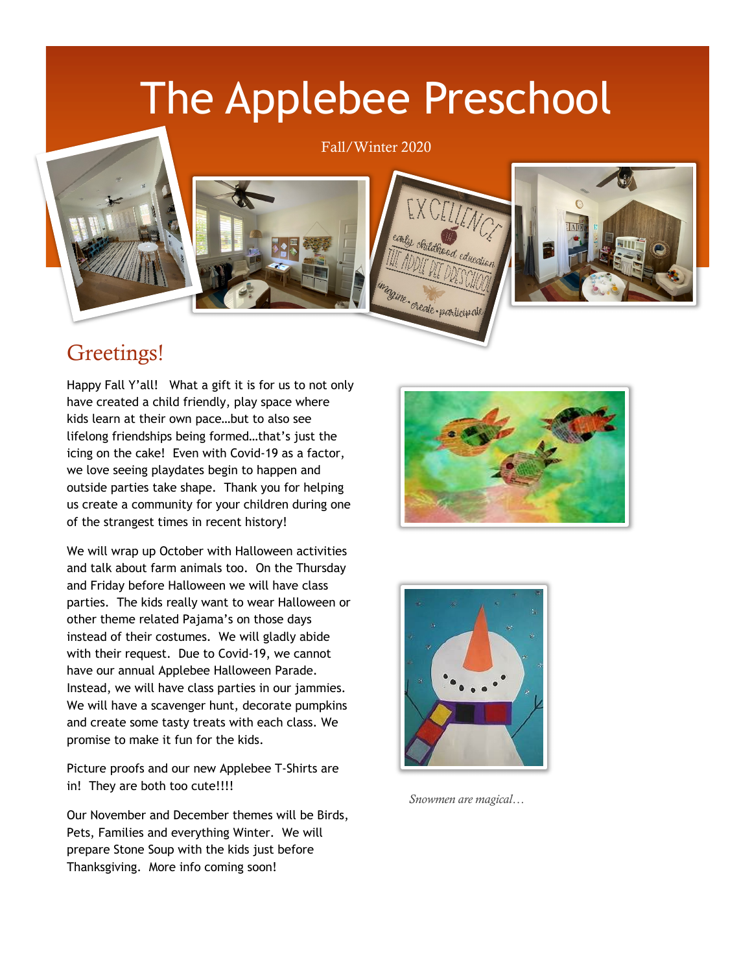# The Applebee Preschool

#### Fall/Winter 2020





#### Greetings!

Happy Fall Y'all! What a gift it is for us to not only have created a child friendly, play space where kids learn at their own pace…but to also see lifelong friendships being formed…that's just the icing on the cake! Even with Covid-19 as a factor, we love seeing playdates begin to happen and outside parties take shape. Thank you for helping us create a community for your children during one of the strangest times in recent history!

We will wrap up October with Halloween activities and talk about farm animals too. On the Thursday and Friday before Halloween we will have class parties. The kids really want to wear Halloween or other theme related Pajama's on those days instead of their costumes. We will gladly abide with their request. Due to Covid-19, we cannot have our annual Applebee Halloween Parade. Instead, we will have class parties in our jammies. We will have a scavenger hunt, decorate pumpkins and create some tasty treats with each class. We promise to make it fun for the kids.

Picture proofs and our new Applebee T-Shirts are in! They are both too cute!!!!

Our November and December themes will be Birds, Pets, Families and everything Winter. We will prepare Stone Soup with the kids just before Thanksgiving. More info coming soon!





*Snowmen are magical…*